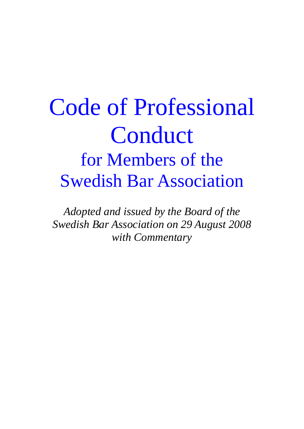# Code of Professional Conduct for Members of the Swedish Bar Association

*Adopted and issued by the Board of the Swedish Bar Association on 29 August 2008 with Commentary*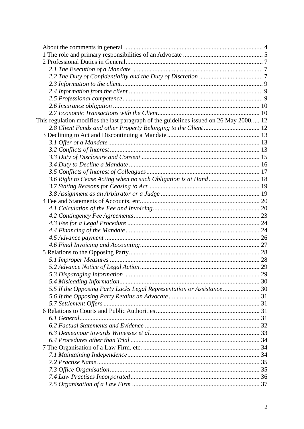| This regulation modifies the last paragraph of the guidelines issued on 26 May 2000 12 |  |
|----------------------------------------------------------------------------------------|--|
|                                                                                        |  |
|                                                                                        |  |
|                                                                                        |  |
|                                                                                        |  |
|                                                                                        |  |
|                                                                                        |  |
|                                                                                        |  |
| 3.6 Right to Cease Acting when no such Obligation is at Hand 18                        |  |
|                                                                                        |  |
|                                                                                        |  |
|                                                                                        |  |
|                                                                                        |  |
|                                                                                        |  |
|                                                                                        |  |
|                                                                                        |  |
|                                                                                        |  |
|                                                                                        |  |
|                                                                                        |  |
|                                                                                        |  |
|                                                                                        |  |
|                                                                                        |  |
|                                                                                        |  |
| 5.5 If the Opposing Party Lacks Legal Representation or Assistance  30                 |  |
|                                                                                        |  |
|                                                                                        |  |
|                                                                                        |  |
|                                                                                        |  |
|                                                                                        |  |
|                                                                                        |  |
|                                                                                        |  |
|                                                                                        |  |
|                                                                                        |  |
|                                                                                        |  |
|                                                                                        |  |
|                                                                                        |  |
|                                                                                        |  |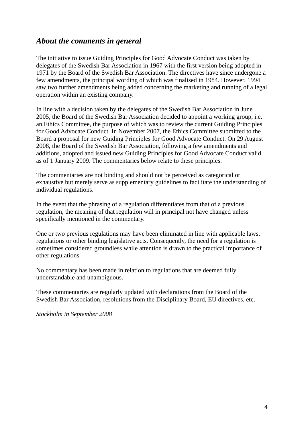# *About the comments in general*

The initiative to issue Guiding Principles for Good Advocate Conduct was taken by delegates of the Swedish Bar Association in 1967 with the first version being adopted in 1971 by the Board of the Swedish Bar Association. The directives have since undergone a few amendments, the principal wording of which was finalised in 1984. However, 1994 saw two further amendments being added concerning the marketing and running of a legal operation within an existing company.

In line with a decision taken by the delegates of the Swedish Bar Association in June 2005, the Board of the Swedish Bar Association decided to appoint a working group, i.e. an Ethics Committee, the purpose of which was to review the current Guiding Principles for Good Advocate Conduct. In November 2007, the Ethics Committee submitted to the Board a proposal for new Guiding Principles for Good Advocate Conduct. On 29 August 2008, the Board of the Swedish Bar Association, following a few amendments and additions, adopted and issued new Guiding Principles for Good Advocate Conduct valid as of 1 January 2009. The commentaries below relate to these principles.

The commentaries are not binding and should not be perceived as categorical or exhaustive but merely serve as supplementary guidelines to facilitate the understanding of individual regulations.

In the event that the phrasing of a regulation differentiates from that of a previous regulation, the meaning of that regulation will in principal not have changed unless specifically mentioned in the commentary.

One or two previous regulations may have been eliminated in line with applicable laws, regulations or other binding legislative acts. Consequently, the need for a regulation is sometimes considered groundless while attention is drawn to the practical importance of other regulations.

No commentary has been made in relation to regulations that are deemed fully understandable and unambiguous.

These commentaries are regularly updated with declarations from the Board of the Swedish Bar Association, resolutions from the Disciplinary Board, EU directives, etc.

*Stockholm in September 2008*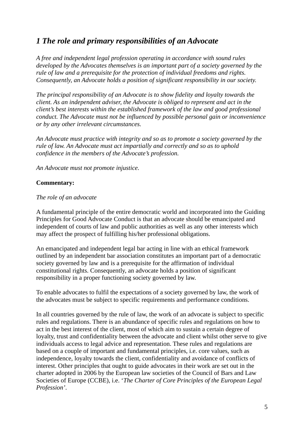# *1 The role and primary responsibilities of an Advocate*

*A free and independent legal profession operating in accordance with sound rules developed by the Advocates themselves is an important part of a society governed by the rule of law and a prerequisite for the protection of individual freedoms and rights. Consequently, an Advocate holds a position of significant responsibility in our society.* 

*The principal responsibility of an Advocate is to show fidelity and loyalty towards the client. As an independent adviser, the Advocate is obliged to represent and act in the client's best interests within the established framework of the law and good professional conduct. The Advocate must not be influenced by possible personal gain or inconvenience or by any other irrelevant circumstances.* 

*An Advocate must practice with integrity and so as to promote a society governed by the rule of law. An Advocate must act impartially and correctly and so as to uphold confidence in the members of the Advocate's profession.* 

*An Advocate must not promote injustice.* 

#### **Commentary:**

#### *The role of an advocate*

A fundamental principle of the entire democratic world and incorporated into the Guiding Principles for Good Advocate Conduct is that an advocate should be emancipated and independent of courts of law and public authorities as well as any other interests which may affect the prospect of fulfilling his/her professional obligations.

An emancipated and independent legal bar acting in line with an ethical framework outlined by an independent bar association constitutes an important part of a democratic society governed by law and is a prerequisite for the affirmation of individual constitutional rights. Consequently, an advocate holds a position of significant responsibility in a proper functioning society governed by law.

To enable advocates to fulfil the expectations of a society governed by law, the work of the advocates must be subject to specific requirements and performance conditions.

In all countries governed by the rule of law, the work of an advocate is subject to specific rules and regulations. There is an abundance of specific rules and regulations on how to act in the best interest of the client, most of which aim to sustain a certain degree of loyalty, trust and confidentiality between the advocate and client whilst other serve to give individuals access to legal advice and representation. These rules and regulations are based on a couple of important and fundamental principles, i.e. core values, such as independence, loyalty towards the client, confidentiality and avoidance of conflicts of interest. Other principles that ought to guide advocates in their work are set out in the charter adopted in 2006 by the European law societies of the Council of Bars and Law Societies of Europe (CCBE), i.e. '*The Charter of Core Principles of the European Legal Profession'*.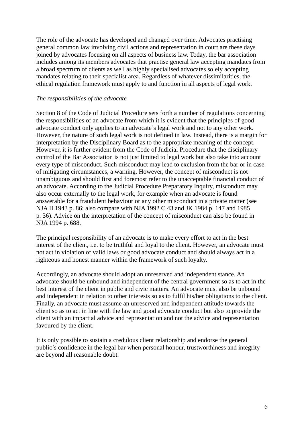The role of the advocate has developed and changed over time. Advocates practising general common law involving civil actions and representation in court are these days joined by advocates focusing on all aspects of business law. Today, the bar association includes among its members advocates that practise general law accepting mandates from a broad spectrum of clients as well as highly specialised advocates solely accepting mandates relating to their specialist area. Regardless of whatever dissimilarities, the ethical regulation framework must apply to and function in all aspects of legal work.

#### *The responsibilities of the advocate*

Section 8 of the Code of Judicial Procedure sets forth a number of regulations concerning the responsibilities of an advocate from which it is evident that the principles of good advocate conduct only applies to an advocate's legal work and not to any other work. However, the nature of such legal work is not defined in law. Instead, there is a margin for interpretation by the Disciplinary Board as to the appropriate meaning of the concept. However, it is further evident from the Code of Judicial Procedure that the disciplinary control of the Bar Association is not just limited to legal work but also take into account every type of misconduct. Such misconduct may lead to exclusion from the bar or in case of mitigating circumstances, a warning. However, the concept of misconduct is not unambiguous and should first and foremost refer to the unacceptable financial conduct of an advocate. According to the Judicial Procedure Preparatory Inquiry, misconduct may also occur externally to the legal work, for example when an advocate is found answerable for a fraudulent behaviour or any other misconduct in a private matter (see NJA II 1943 p. 86; also compare with NJA 1992 C 43 and JK 1984 p. 147 and 1985 p. 36). Advice on the interpretation of the concept of misconduct can also be found in NJA 1994 p. 688.

The principal responsibility of an advocate is to make every effort to act in the best interest of the client, i.e. to be truthful and loyal to the client. However, an advocate must not act in violation of valid laws or good advocate conduct and should always act in a righteous and honest manner within the framework of such loyalty.

Accordingly, an advocate should adopt an unreserved and independent stance. An advocate should be unbound and independent of the central government so as to act in the best interest of the client in public and civic matters. An advocate must also be unbound and independent in relation to other interests so as to fulfil his/her obligations to the client. Finally, an advocate must assume an unreserved and independent attitude towards the client so as to act in line with the law and good advocate conduct but also to provide the client with an impartial advice and representation and not the advice and representation favoured by the client.

It is only possible to sustain a credulous client relationship and endorse the general public's confidence in the legal bar when personal honour, trustworthiness and integrity are beyond all reasonable doubt.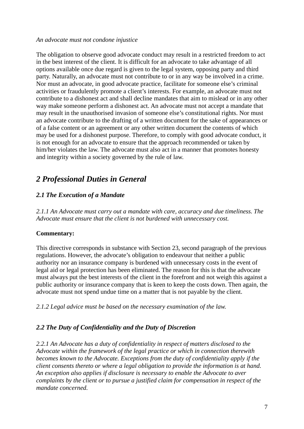#### *An advocate must not condone injustice*

The obligation to observe good advocate conduct may result in a restricted freedom to act in the best interest of the client. It is difficult for an advocate to take advantage of all options available once due regard is given to the legal system, opposing party and third party. Naturally, an advocate must not contribute to or in any way be involved in a crime. Nor must an advocate, in good advocate practice, facilitate for someone else's criminal activities or fraudulently promote a client's interests. For example, an advocate must not contribute to a dishonest act and shall decline mandates that aim to mislead or in any other way make someone perform a dishonest act. An advocate must not accept a mandate that may result in the unauthorised invasion of someone else's constitutional rights. Nor must an advocate contribute to the drafting of a written document for the sake of appearances or of a false content or an agreement or any other written document the contents of which may be used for a dishonest purpose. Therefore, to comply with good advocate conduct, it is not enough for an advocate to ensure that the approach recommended or taken by him/her violates the law. The advocate must also act in a manner that promotes honesty and integrity within a society governed by the rule of law.

# *2 Professional Duties in General*

## *2.1 The Execution of a Mandate*

*2.1.1 An Advocate must carry out a mandate with care, accuracy and due timeliness. The Advocate must ensure that the client is not burdened with unnecessary cost.* 

#### **Commentary:**

This directive corresponds in substance with Section 23, second paragraph of the previous regulations. However, the advocate's obligation to endeavour that neither a public authority nor an insurance company is burdened with unnecessary costs in the event of legal aid or legal protection has been eliminated. The reason for this is that the advocate must always put the best interests of the client in the forefront and not weigh this against a public authority or insurance company that is keen to keep the costs down. Then again, the advocate must not spend undue time on a matter that is not payable by the client.

*2.1.2 Legal advice must be based on the necessary examination of the law.* 

## *2.2 The Duty of Confidentiality and the Duty of Discretion*

*2.2.1 An Advocate has a duty of confidentiality in respect of matters disclosed to the Advocate within the framework of the legal practice or which in connection therewith becomes known to the Advocate. Exceptions from the duty of confidentiality apply if the client consents thereto or where a legal obligation to provide the information is at hand. An exception also applies if disclosure is necessary to enable the Advocate to aver complaints by the client or to pursue a justified claim for compensation in respect of the mandate concerned.*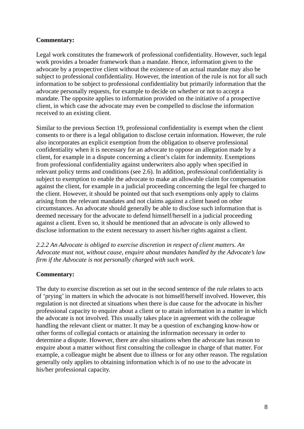Legal work constitutes the framework of professional confidentiality. However, such legal work provides a broader framework than a mandate. Hence, information given to the advocate by a prospective client without the existence of an actual mandate may also be subject to professional confidentiality. However, the intention of the rule is not for all such information to be subject to professional confidentiality but primarily information that the advocate personally requests, for example to decide on whether or not to accept a mandate. The opposite applies to information provided on the initiative of a prospective client, in which case the advocate may even be compelled to disclose the information received to an existing client.

Similar to the previous Section 19, professional confidentiality is exempt when the client consents to or there is a legal obligation to disclose certain information. However, the rule also incorporates an explicit exemption from the obligation to observe professional confidentiality when it is necessary for an advocate to oppose an allegation made by a client, for example in a dispute concerning a client's claim for indemnity. Exemptions from professional confidentiality against underwriters also apply when specified in relevant policy terms and conditions (see 2.6). In addition, professional confidentiality is subject to exemption to enable the advocate to make an allowable claim for compensation against the client, for example in a judicial proceeding concerning the legal fee charged to the client. However, it should be pointed out that such exemptions only apply to claims arising from the relevant mandates and not claims against a client based on other circumstances. An advocate should generally be able to disclose such information that is deemed necessary for the advocate to defend himself/herself in a judicial proceeding against a client. Even so, it should be mentioned that an advocate is only allowed to disclose information to the extent necessary to assert his/her rights against a client.

*2.2.2 An Advocate is obliged to exercise discretion in respect of client matters. An Advocate must not, without cause, enquire about mandates handled by the Advocate's law firm if the Advocate is not personally charged with such work.* 

#### **Commentary:**

The duty to exercise discretion as set out in the second sentence of the rule relates to acts of 'prying' in matters in which the advocate is not himself/herself involved. However, this regulation is not directed at situations when there is due cause for the advocate in his/her professional capacity to enquire about a client or to attain information in a matter in which the advocate is not involved. This usually takes place in agreement with the colleague handling the relevant client or matter. It may be a question of exchanging know-how or other forms of collegial contacts or attaining the information necessary in order to determine a dispute. However, there are also situations when the advocate has reason to enquire about a matter without first consulting the colleague in charge of that matter. For example, a colleague might be absent due to illness or for any other reason. The regulation generally only applies to obtaining information which is of no use to the advocate in his/her professional capacity.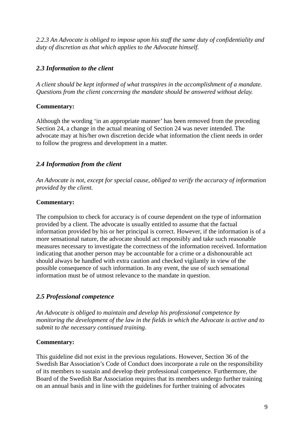*2.2.3 An Advocate is obliged to impose upon his staff the same duty of confidentiality and duty of discretion as that which applies to the Advocate himself.* 

## *2.3 Information to the client*

*A client should be kept informed of what transpires in the accomplishment of a mandate. Questions from the client concerning the mandate should be answered without delay.* 

#### **Commentary:**

Although the wording 'in an appropriate manner' has been removed from the preceding Section 24, a change in the actual meaning of Section 24 was never intended. The advocate may at his/her own discretion decide what information the client needs in order to follow the progress and development in a matter.

## *2.4 Information from the client*

*An Advocate is not, except for special cause, obliged to verify the accuracy of information provided by the client.* 

#### **Commentary:**

The compulsion to check for accuracy is of course dependent on the type of information provided by a client. The advocate is usually entitled to assume that the factual information provided by his or her principal is correct. However, if the information is of a more sensational nature, the advocate should act responsibly and take such reasonable measures necessary to investigate the correctness of the information received. Information indicating that another person may be accountable for a crime or a dishonourable act should always be handled with extra caution and checked vigilantly in view of the possible consequence of such information. In any event, the use of such sensational information must be of utmost relevance to the mandate in question.

## *2.5 Professional competence*

*An Advocate is obliged to maintain and develop his professional competence by monitoring the development of the law in the fields in which the Advocate is active and to submit to the necessary continued training.* 

#### **Commentary:**

This guideline did not exist in the previous regulations. However, Section 36 of the Swedish Bar Association's Code of Conduct does incorporate a rule on the responsibility of its members to sustain and develop their professional competence. Furthermore, the Board of the Swedish Bar Association requires that its members undergo further training on an annual basis and in line with the guidelines for further training of advocates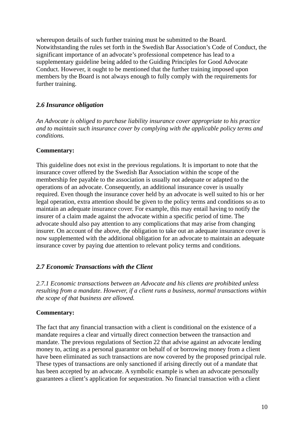whereupon details of such further training must be submitted to the Board. Notwithstanding the rules set forth in the Swedish Bar Association's Code of Conduct, the significant importance of an advocate's professional competence has lead to a supplementary guideline being added to the Guiding Principles for Good Advocate Conduct. However, it ought to be mentioned that the further training imposed upon members by the Board is not always enough to fully comply with the requirements for further training.

#### *2.6 Insurance obligation*

*An Advocate is obliged to purchase liability insurance cover appropriate to his practice and to maintain such insurance cover by complying with the applicable policy terms and conditions.*

#### **Commentary:**

This guideline does not exist in the previous regulations. It is important to note that the insurance cover offered by the Swedish Bar Association within the scope of the membership fee payable to the association is usually not adequate or adapted to the operations of an advocate. Consequently, an additional insurance cover is usually required. Even though the insurance cover held by an advocate is well suited to his or her legal operation, extra attention should be given to the policy terms and conditions so as to maintain an adequate insurance cover. For example, this may entail having to notify the insurer of a claim made against the advocate within a specific period of time. The advocate should also pay attention to any complications that may arise from changing insurer. On account of the above, the obligation to take out an adequate insurance cover is now supplemented with the additional obligation for an advocate to maintain an adequate insurance cover by paying due attention to relevant policy terms and conditions.

## *2.7 Economic Transactions with the Client*

*2.7.1 Economic transactions between an Advocate and his clients are prohibited unless resulting from a mandate. However, if a client runs a business, normal transactions within the scope of that business are allowed.* 

#### **Commentary:**

The fact that any financial transaction with a client is conditional on the existence of a mandate requires a clear and virtually direct connection between the transaction and mandate. The previous regulations of Section 22 that advise against an advocate lending money to, acting as a personal guarantor on behalf of or borrowing money from a client have been eliminated as such transactions are now covered by the proposed principal rule. These types of transactions are only sanctioned if arising directly out of a mandate that has been accepted by an advocate. A symbolic example is when an advocate personally guarantees a client's application for sequestration. No financial transaction with a client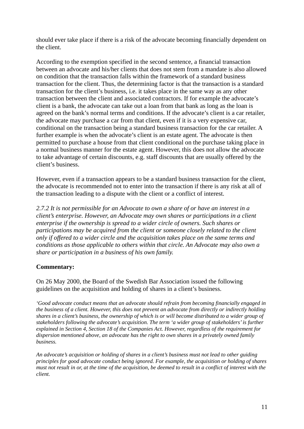should ever take place if there is a risk of the advocate becoming financially dependent on the client.

According to the exemption specified in the second sentence, a financial transaction between an advocate and his/her clients that does not stem from a mandate is also allowed on condition that the transaction falls within the framework of a standard business transaction for the client. Thus, the determining factor is that the transaction is a standard transaction for the client's business, i.e. it takes place in the same way as any other transaction between the client and associated contractors. If for example the advocate's client is a bank, the advocate can take out a loan from that bank as long as the loan is agreed on the bank's normal terms and conditions. If the advocate's client is a car retailer, the advocate may purchase a car from that client, even if it is a very expensive car, conditional on the transaction being a standard business transaction for the car retailer. A further example is when the advocate's client is an estate agent. The advocate is then permitted to purchase a house from that client conditional on the purchase taking place in a normal business manner for the estate agent. However, this does not allow the advocate to take advantage of certain discounts, e.g. staff discounts that are usually offered by the client's business.

However, even if a transaction appears to be a standard business transaction for the client, the advocate is recommended not to enter into the transaction if there is any risk at all of the transaction leading to a dispute with the client or a conflict of interest.

*2.7.2 It is not permissible for an Advocate to own a share of or have an interest in a client's enterprise. However, an Advocate may own shares or participations in a client enterprise if the ownership is spread to a wider circle of owners. Such shares or participations may be acquired from the client or someone closely related to the client only if offered to a wider circle and the acquisition takes place on the same terms and conditions as those applicable to others within that circle. An Advocate may also own a share or participation in a business of his own family.* 

#### **Commentary:**

On 26 May 2000, the Board of the Swedish Bar Association issued the following guidelines on the acquisition and holding of shares in a client's business.

*'Good advocate conduct means that an advocate should refrain from becoming financially engaged in the business of a client. However, this does not prevent an advocate from directly or indirectly holding shares in a client's business, the ownership of which is or will become distributed to a wider group of stakeholders following the advocate's acquisition. The term 'a wider group of stakeholders' is further explained in Section 4, Section 18 of the Companies Act. However, regardless of the requirement for dispersion mentioned above, an advocate has the right to own shares in a privately owned family business.* 

*An advocate's acquisition or holding of shares in a client's business must not lead to other guiding principles for good advocate conduct being ignored. For example, the acquisition or holding of shares must not result in or, at the time of the acquisition, be deemed to result in a conflict of interest with the client.*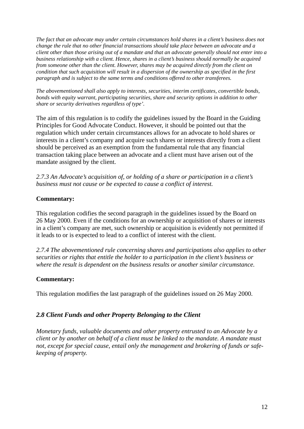*The fact that an advocate may under certain circumstances hold shares in a client's business does not change the rule that no other financial transactions should take place between an advocate and a client other than those arising out of a mandate and that an advocate generally should not enter into a business relationship with a client. Hence, shares in a client's business should normally be acquired from someone other than the client. However, shares may be acquired directly from the client on condition that such acquisition will result in a dispersion of the ownership as specified in the first paragraph and is subject to the same terms and conditions offered to other transferees.* 

*The abovementioned shall also apply to interests, securities, interim certificates, convertible bonds, bonds with equity warrant, participating securities, share and security options in addition to other share or security derivatives regardless of type'.* 

The aim of this regulation is to codify the guidelines issued by the Board in the Guiding Principles for Good Advocate Conduct. However, it should be pointed out that the regulation which under certain circumstances allows for an advocate to hold shares or interests in a client's company and acquire such shares or interests directly from a client should be perceived as an exemption from the fundamental rule that any financial transaction taking place between an advocate and a client must have arisen out of the mandate assigned by the client.

*2.7.3 An Advocate's acquisition of, or holding of a share or participation in a client's business must not cause or be expected to cause a conflict of interest.* 

#### **Commentary:**

This regulation codifies the second paragraph in the guidelines issued by the Board on 26 May 2000. Even if the conditions for an ownership or acquisition of shares or interests in a client's company are met, such ownership or acquisition is evidently not permitted if it leads to or is expected to lead to a conflict of interest with the client.

*2.7.4 The abovementioned rule concerning shares and participations also applies to other securities or rights that entitle the holder to a participation in the client's business or where the result is dependent on the business results or another similar circumstance.* 

#### **Commentary:**

This regulation modifies the last paragraph of the guidelines issued on 26 May 2000.

#### *2.8 Client Funds and other Property Belonging to the Client*

*Monetary funds, valuable documents and other property entrusted to an Advocate by a client or by another on behalf of a client must be linked to the mandate. A mandate must not, except for special cause, entail only the management and brokering of funds or safekeeping of property.*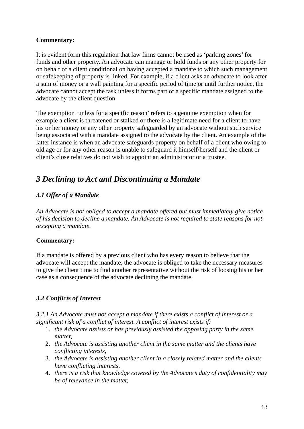It is evident form this regulation that law firms cannot be used as 'parking zones' for funds and other property. An advocate can manage or hold funds or any other property for on behalf of a client conditional on having accepted a mandate to which such management or safekeeping of property is linked. For example, if a client asks an advocate to look after a sum of money or a wall painting for a specific period of time or until further notice, the advocate cannot accept the task unless it forms part of a specific mandate assigned to the advocate by the client question.

The exemption 'unless for a specific reason' refers to a genuine exemption when for example a client is threatened or stalked or there is a legitimate need for a client to have his or her money or any other property safeguarded by an advocate without such service being associated with a mandate assigned to the advocate by the client. An example of the latter instance is when an advocate safeguards property on behalf of a client who owing to old age or for any other reason is unable to safeguard it himself/herself and the client or client's close relatives do not wish to appoint an administrator or a trustee.

# *3 Declining to Act and Discontinuing a Mandate*

## *3.1 Offer of a Mandate*

*An Advocate is not obliged to accept a mandate offered but must immediately give notice of his decision to decline a mandate. An Advocate is not required to state reasons for not accepting a mandate.* 

#### **Commentary:**

If a mandate is offered by a previous client who has every reason to believe that the advocate will accept the mandate, the advocate is obliged to take the necessary measures to give the client time to find another representative without the risk of loosing his or her case as a consequence of the advocate declining the mandate.

## *3.2 Conflicts of Interest*

*3.2.1 An Advocate must not accept a mandate if there exists a conflict of interest or a significant risk of a conflict of interest. A conflict of interest exists if:* 

- 1. *the Advocate assists or has previously assisted the opposing party in the same matter,*
- 2. *the Advocate is assisting another client in the same matter and the clients have conflicting interests,*
- 3. *the Advocate is assisting another client in a closely related matter and the clients have conflicting interests,*
- 4. *there is a risk that knowledge covered by the Advocate's duty of confidentiality may be of relevance in the matter,*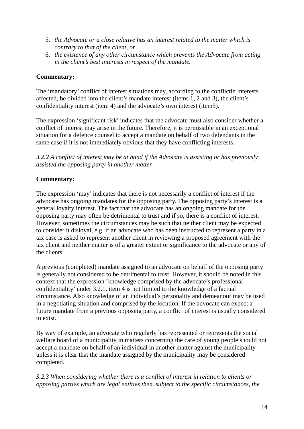- 5. *the Advocate or a close relative has an interest related to the matter which is contrary to that of the client, or*
- 6. *the existence of any other circumstance which prevents the Advocate from acting in the client's best interests in respect of the mandate.*

The 'mandatory' conflict of interest situations may, according to the conflictin interests affected, be divided into the client's mandate interest (items 1, 2 and 3), the client's confidentiality interest (item 4) and the advocate's own interest (item5).

The expression 'significant risk' indicates that the advocate must also consider whether a conflict of interest may arise in the future. Therefore, it is permissible in an exceptional situation for a defence counsel to accept a mandate on behalf of two defendants in the same case if it is not immediately obvious that they have conflicting interests.

*3.2.2 A conflict of interest may be at hand if the Advocate is assisting or has previously assisted the opposing party in another matter.* 

#### **Commentary:**

The expression 'may' indicates that there is not necessarily a conflict of interest if the advocate has ongoing mandates for the opposing party. The opposing party's interest is a general loyalty interest. The fact that the advocate has an ongoing mandate for the opposing party may often be detrimental to trust and if so, there is a conflict of interest. However, sometimes the circumstances may be such that neither client may be expected to consider it disloyal, e.g. if an advocate who has been instructed to represent a party in a tax case is asked to represent another client in reviewing a proposed agreement with the tax client and neither matter is of a greater extent or significance to the advocate or any of the clients.

A previous (completed) mandate assigned to an advocate on behalf of the opposing party is generally not considered to be detrimental to trust. However, it should be noted in this context that the expression 'knowledge comprised by the advocate's professional confidentiality' under 3.2.1, item 4 is not limited to the knowledge of a factual circumstance. Also knowledge of an individual's personality and demeanour may be used in a negotiating situation and comprised by the locution. If the advocate can expect a future mandate from a previous opposing party, a conflict of interest is usually considered to exist.

By way of example, an advocate who regularly has represented or represents the social welfare board of a municipality in matters concerning the care of young people should not accept a mandate on behalf of an individual in another matter against the municipality unless it is clear that the mandate assigned by the municipality may be considered completed.

*3.2.3 When considering whether there is a conflict of interest in relation to clients or opposing parties which are legal entities then ,subject to the specific circumstances, the*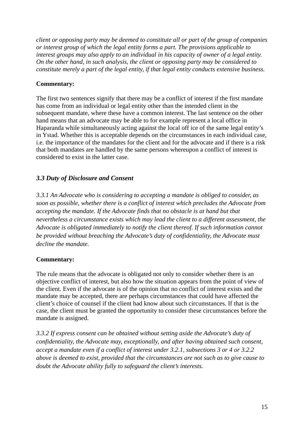*client or opposing party may be deemed to constitute all or part of the group of companies or interest group of which the legal entity forms a part. The provisions applicable to interest groups may also apply to an individual in his capacity of owner of a legal entity. On the other hand, in such analysis, the client or opposing party may be considered to constitute merely a part of the legal entity, if that legal entity conducts extensive business.*

#### **Commentary:**

The first two sentences signify that there may be a conflict of interest if the first mandate has come from an individual or legal entity other than the intended client in the subsequent mandate, where these have a common interest. The last sentence on the other hand means that an advocate may be able to for example represent a local office in Haparanda while simultaneously acting against the local off ice of the same legal entity's in Ystad. Whether this is acceptable depends on the circumstances in each individual case, i.e. the importance of the mandates for the client and for the advocate and if there is a risk that both mandates are handled by the same persons whereupon a conflict of interest is considered to exist in the latter case.

## *3.3 Duty of Disclosure and Consent*

*3.3.1 An Advocate who is considering to accepting a mandate is obliged to consider, as soon as possible, whether there is a conflict of interest which precludes the Advocate from accepting the mandate. If the Advocate finds that no obstacle is at hand but that nevertheless a circumstance exists which may lead the client to a different assessment, the Advocate is obligated immediately to notify the client thereof. If such information cannot be provided without breaching the Advocate's duty of confidentiality, the Advocate must decline the mandate.* 

#### **Commentary:**

The rule means that the advocate is obligated not only to consider whether there is an objective conflict of interest, but also how the situation appears from the point of view of the client. Even if the advocate is of the opinion that no conflict of interest exists and the mandate may be accepted, there are perhaps circumstances that could have affected the client's choice of counsel if the client had know about such circumstances. If that is the case, the client must be granted the opportunity to consider these circumstances before the mandate is assigned.

*3.3.2 If express consent can be obtained without setting aside the Advocate's duty of confidentiality, the Advocate may, exceptionally, and after having obtained such consent, accept a mandate even if a conflict of interest under 3.2.1, subsections 3 or 4 or 3.2.2 above is deemed to exist, provided that the circumstances are not such as to give cause to doubt the Advocate ability fully to safeguard the client's interests.*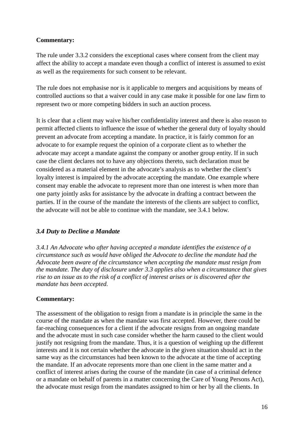The rule under 3.3.2 considers the exceptional cases where consent from the client may affect the ability to accept a mandate even though a conflict of interest is assumed to exist as well as the requirements for such consent to be relevant.

The rule does not emphasise nor is it applicable to mergers and acquisitions by means of controlled auctions so that a waiver could in any case make it possible for one law firm to represent two or more competing bidders in such an auction process.

It is clear that a client may waive his/her confidentiality interest and there is also reason to permit affected clients to influence the issue of whether the general duty of loyalty should prevent an advocate from accepting a mandate. In practice, it is fairly common for an advocate to for example request the opinion of a corporate client as to whether the advocate may accept a mandate against the company or another group entity. If in such case the client declares not to have any objections thereto, such declaration must be considered as a material element in the advocate's analysis as to whether the client's loyalty interest is impaired by the advocate accepting the mandate. One example where consent may enable the advocate to represent more than one interest is when more than one party jointly asks for assistance by the advocate in drafting a contract between the parties. If in the course of the mandate the interests of the clients are subject to conflict, the advocate will not be able to continue with the mandate, see 3.4.1 below.

## *3.4 Duty to Decline a Mandate*

*3.4.1 An Advocate who after having accepted a mandate identifies the existence of a circumstance such as would have obliged the Advocate to decline the mandate had the Advocate been aware of the circumstance when accepting the mandate must resign from the mandate. The duty of disclosure under 3.3 applies also when a circumstance that gives rise to an issue as to the risk of a conflict of interest arises or is discovered after the mandate has been accepted.* 

#### **Commentary:**

The assessment of the obligation to resign from a mandate is in principle the same in the course of the mandate as when the mandate was first accepted. However, there could be far-reaching consequences for a client if the advocate resigns from an ongoing mandate and the advocate must in such case consider whether the harm caused to the client would justify not resigning from the mandate. Thus, it is a question of weighing up the different interests and it is not certain whether the advocate in the given situation should act in the same way as the circumstances had been known to the advocate at the time of accepting the mandate. If an advocate represents more than one client in the same matter and a conflict of interest arises during the course of the mandate (in case of a criminal defence or a mandate on behalf of parents in a matter concerning the Care of Young Persons Act), the advocate must resign from the mandates assigned to him or her by all the clients. In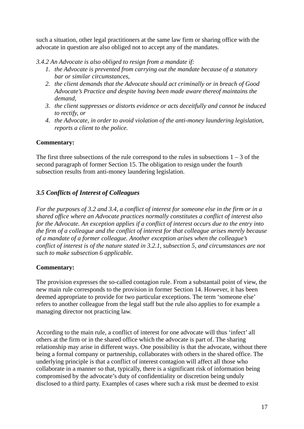such a situation, other legal practitioners at the same law firm or sharing office with the advocate in question are also obliged not to accept any of the mandates.

*3.4.2 An Advocate is also obliged to resign from a mandate if:* 

- *1. the Advocate is prevented from carrying out the mandate because of a statutory bar or similar circumstances,*
- *2. the client demands that the Advocate should act criminally or in breach of Good Advocate's Practice and despite having been made aware thereof maintains the demand,*
- *3. the client suppresses or distorts evidence or acts deceitfully and cannot be induced to rectify, or*
- *4. the Advocate, in order to avoid violation of the anti-money laundering legislation, reports a client to the police.*

#### **Commentary:**

The first three subsections of the rule correspond to the rules in subsections  $1 - 3$  of the second paragraph of former Section 15. The obligation to resign under the fourth subsection results from anti-money laundering legislation.

## *3.5 Conflicts of Interest of Colleagues*

*For the purposes of 3.2 and 3.4, a conflict of interest for someone else in the firm or in a shared office where an Advocate practices normally constitutes a conflict of interest also for the Advocate. An exception applies if a conflict of interest occurs due to the entry into the firm of a colleague and the conflict of interest for that colleague arises merely because of a mandate of a former colleague. Another exception arises when the colleague's conflict of interest is of the nature stated in 3.2.1, subsection 5, and circumstances are not such to make subsection 6 applicable.* 

## **Commentary:**

The provision expresses the so-called contagion rule. From a substantail point of view, the new main rule corresponds to the provision in former Section 14. However, it has been deemed appropriate to provide for two particular exceptions. The term 'someone else' refers to another colleague from the legal staff but the rule also applies to for example a managing director not practicing law.

According to the main rule, a conflict of interest for one advocate will thus 'infect' all others at the firm or in the shared office which the advocate is part of. The sharing relationship may arise in different ways. One possibility is that the advocate, without there being a formal company or partnership, collaborates with others in the shared office. The underlying principle is that a conflict of interest contagion will affect all those who collaborate in a manner so that, typically, there is a significant risk of information being compromised by the advocate's duty of confidentiality or discretion being unduly disclosed to a third party. Examples of cases where such a risk must be deemed to exist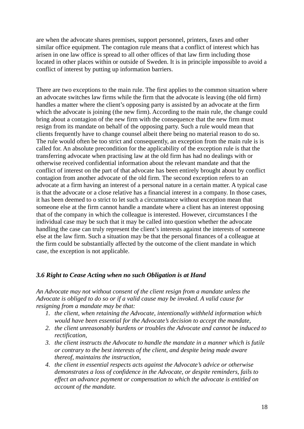are when the advocate shares premises, support personnel, printers, faxes and other similar office equipment. The contagion rule means that a conflict of interest which has arisen in one law office is spread to all other offices of that law firm including those located in other places within or outside of Sweden. It is in principle impossible to avoid a conflict of interest by putting up information barriers.

There are two exceptions to the main rule. The first applies to the common situation where an advocate switches law firms while the firm that the advocate is leaving (the old firm) handles a matter where the client's opposing party is assisted by an advocate at the firm which the advocate is joining (the new firm). According to the main rule, the change could bring about a contagion of the new firm with the consequence that the new firm must resign from its mandate on behalf of the opposing party. Such a rule would mean that clients frequently have to change counsel albeit there being no material reason to do so. The rule would often be too strict and consequently, an exception from the main rule is is called for. An absolute precondition for the applicability of the exception rule is that the transferring advocate when practising law at the old firm has had no dealings with or otherwise received confidential information about the relevant mandate and that the conflict of interest on the part of that advocate has been entirely brought about by conflict contagion from another advocate of the old firm. The second exception refers to an advocate at a firm having an interest of a personal nature in a certain matter. A typical case is that the advocate or a close relative has a financial interest in a company. In those cases, it has been deemed to o strict to let such a circumstance without exception mean that someone else at the firm cannot handle a mandate where a client has an interest opposing that of the company in which the colleague is interested. However, circumstances I the individual case may be such that it may be called into question whether the advocate handling the case can truly represent the client's interests against the interests of someone else at the law firm. Such a situation may be that the personal finances of a colleague at the firm could be substantially affected by the outcome of the client mandate in which case, the exception is not applicable.

#### *3.6 Right to Cease Acting when no such Obligation is at Hand*

*An Advocate may not without consent of the client resign from a mandate unless the Advocate is obliged to do so or if a valid cause may be invoked. A valid cause for resigning from a mandate may be that:* 

- *1. the client, when retaining the Advocate, intentionally withheld information which would have been essential for the Advocate's decision to accept the mandate,*
- *2. the client unreasonably burdens or troubles the Advocate and cannot be induced to rectification,*
- *3. the client instructs the Advocate to handle the mandate in a manner which is futile or contrary to the best interests of the client, and despite being made aware thereof, maintains the instruction,*
- *4. the client in essential respects acts against the Advocate's advice or otherwise demonstrates a loss of confidence in the Advocate, or despite reminders, fails to effect an advance payment or compensation to which the advocate is entitled on account of the mandate.*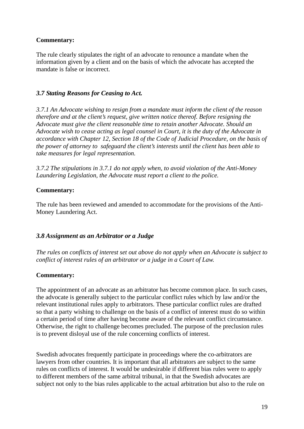The rule clearly stipulates the right of an advocate to renounce a mandate when the information given by a client and on the basis of which the advocate has accepted the mandate is false or incorrect.

#### *3.7 Stating Reasons for Ceasing to Act.*

*3.7.1 An Advocate wishing to resign from a mandate must inform the client of the reason therefore and at the client's request, give written notice thereof. Before resigning the Advocate must give the client reasonable time to retain another Advocate. Should an Advocate wish to cease acting as legal counsel in Court, it is the duty of the Advocate in accordance with Chapter 12, Section 18 of the Code of Judicial Procedure, on the basis of the power of attorney to safeguard the client's interests until the client has been able to take measures for legal representation.* 

*3.7.2 The stipulations in 3.7.1 do not apply when, to avoid violation of the Anti-Money Laundering Legislation, the Advocate must report a client to the police.* 

#### **Commentary:**

The rule has been reviewed and amended to accommodate for the provisions of the Anti-Money Laundering Act.

#### *3.8 Assignment as an Arbitrator or a Judge*

*The rules on conflicts of interest set out above do not apply when an Advocate is subject to conflict of interest rules of an arbitrator or a judge in a Court of Law.* 

#### **Commentary:**

The appointment of an advocate as an arbitrator has become common place. In such cases, the advocate is generally subject to the particular conflict rules which by law and/or the relevant institutional rules apply to arbitrators. These particular conflict rules are drafted so that a party wishing to challenge on the basis of a conflict of interest must do so within a certain period of time after having become aware of the relevant conflict circumstance. Otherwise, the right to challenge becomes precluded. The purpose of the preclusion rules is to prevent disloyal use of the rule concerning conflicts of interest.

Swedish advocates frequently participate in proceedings where the co-arbitrators are lawyers from other countries. It is important that all arbitrators are subject to the same rules on conflicts of interest. It would be undesirable if different bias rules were to apply to different members of the same arbitral tribunal, in that the Swedish advocates are subject not only to the bias rules applicable to the actual arbitration but also to the rule on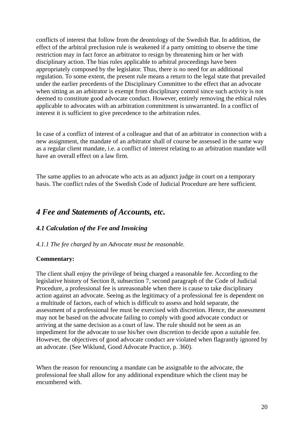conflicts of interest that follow from the deontology of the Swedish Bar. In addition, the effect of the arbitral preclusion rule is weakened if a party omitting to observe the time restriction may in fact force an arbitrator to resign by threatening him or her with disciplinary action. The bias rules applicable to arbitral proceedings have been appropriately composed by the legislator. Thus, there is no need for an additional regulation. To some extent, the present rule means a return to the legal state that prevailed under the earlier precedents of the Disciplinary Committee to the effect that an advocate when sitting as an arbitrator is exempt from disciplinary control since such activity is not deemed to constitute good advocate conduct. However, entirely removing the ethical rules applicable to advocates with an arbitration commitment is unwarranted. In a conflict of interest it is sufficient to give precedence to the arbitration rules.

In case of a conflict of interest of a colleague and that of an arbitrator in connection with a new assignment, the mandate of an arbitrator shall of course be assessed in the same way as a regular client mandate, i.e. a conflict of interest relating to an arbitration mandate will have an overall effect on a law firm.

The same applies to an advocate who acts as an adjunct judge in court on a temporary basis. The conflict rules of the Swedish Code of Judicial Procedure are here sufficient.

## *4 Fee and Statements of Accounts, etc.*

#### *4.1 Calculation of the Fee and Invoicing*

#### *4.1.1 The fee charged by an Advocate must be reasonable.*

#### **Commentary:**

The client shall enjoy the privilege of being charged a reasonable fee. According to the legislative history of Section 8, subsection 7, second paragraph of the Code of Judicial Procedure, a professional fee is unreasonable when there is cause to take disciplinary action against an advocate. Seeing as the legitimacy of a professional fee is dependent on a multitude of factors, each of which is difficult to assess and hold separate, the assessment of a professional fee must be exercised with discretion. Hence, the assessment may not be based on the advocate failing to comply with good advocate conduct or arriving at the same decision as a court of law. The rule should not be seen as an impediment for the advocate to use his/her own discretion to decide upon a suitable fee. However, the objectives of good advocate conduct are violated when flagrantly ignored by an advocate. (See Wiklund, Good Advocate Practice, p. 360).

When the reason for renouncing a mandate can be assignable to the advocate, the professional fee shall allow for any additional expenditure which the client may be encumbered with.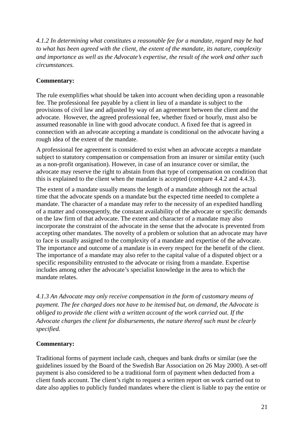*4.1.2 In determining what constitutes a reasonable fee for a mandate, regard may be had to what has been agreed with the client, the extent of the mandate, its nature, complexity and importance as well as the Advocate's expertise, the result of the work and other such circumstances.* 

### **Commentary:**

The rule exemplifies what should be taken into account when deciding upon a reasonable fee. The professional fee payable by a client in lieu of a mandate is subject to the provisions of civil law and adjusted by way of an agreement between the client and the advocate. However, the agreed professional fee, whether fixed or hourly, must also be assumed reasonable in line with good advocate conduct. A fixed fee that is agreed in connection with an advocate accepting a mandate is conditional on the advocate having a rough idea of the extent of the mandate.

A professional fee agreement is considered to exist when an advocate accepts a mandate subject to statutory compensation or compensation from an insurer or similar entity (such as a non-profit organisation). However, in case of an insurance cover or similar, the advocate may reserve the right to abstain from that type of compensation on condition that this is explained to the client when the mandate is accepted (compare 4.4.2 and 4.4.3).

The extent of a mandate usually means the length of a mandate although not the actual time that the advocate spends on a mandate but the expected time needed to complete a mandate. The character of a mandate may refer to the necessity of an expedited handling of a matter and consequently, the constant availability of the advocate or specific demands on the law firm of that advocate. The extent and character of a mandate may also incorporate the constraint of the advocate in the sense that the advocate is prevented from accepting other mandates. The novelty of a problem or solution that an advocate may have to face is usually assigned to the complexity of a mandate and expertise of the advocate. The importance and outcome of a mandate is in every respect for the benefit of the client. The importance of a mandate may also refer to the capital value of a disputed object or a specific responsibility entrusted to the advocate or rising from a mandate. Expertise includes among other the advocate's specialist knowledge in the area to which the mandate relates.

*4.1.3 An Advocate may only receive compensation in the form of customary means of payment. The fee charged does not have to be itemised but, on demand, the Advocate is obliged to provide the client with a written account of the work carried out. If the Advocate charges the client for disbursements, the nature thereof such must be clearly specified.* 

#### **Commentary:**

Traditional forms of payment include cash, cheques and bank drafts or similar (see the guidelines issued by the Board of the Swedish Bar Association on 26 May 2000). A set-off payment is also considered to be a traditional form of payment when deducted from a client funds account. The client's right to request a written report on work carried out to date also applies to publicly funded mandates where the client is liable to pay the entire or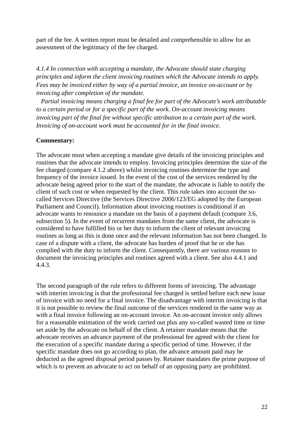part of the fee. A written report must be detailed and comprehensible to allow for an assessment of the legitimacy of the fee charged.

*4.1.4 In connection with accepting a mandate, the Advocate should state charging principles and inform the client invoicing routines which the Advocate intends to apply. Fees may be invoiced either by way of a partial invoice, an invoice on-account or by invoicing after completion of the mandate.* 

 *Partial invoicing means charging a final fee for part of the Advocate's work attributable to a certain period or for a specific part of the work. On-account invoicing means invoicing part of the final fee without specific attribution to a certain part of the work. Invoicing of on-account work must be accounted for in the final invoice.* 

#### **Commentary:**

The advocate must when accepting a mandate give details of the invoicing principles and routines that the advocate intends to employ. Invoicing principles determine the size of the fee charged (compare 4.1.2 above) whilst invoicing routines determine the type and frequency of the invoice issued. In the event of the cost of the services rendered by the advocate being agreed prior to the start of the mandate, the advocate is liable to notify the client of such cost or when requested by the client. This rule takes into account the socalled Services Directive (the Services Directive 2006/123/EG adopted by the European Parliament and Council). Information about invoicing routines is conditional if an advocate wants to renounce a mandate on the basis of a payment default (compare 3.6, subsection 5). In the event of recurrent mandates from the same client, the advocate is considered to have fulfilled his or her duty to inform the client of relevant invoicing routines as long as this is done once and the relevant information has not been changed. In case of a dispute with a client, the advocate has burden of proof that he or she has complied with the duty to inform the client. Consequently, there are various reasons to document the invoicing principles and routines agreed with a client. See also 4.4.1 and 4.4.3.

The second paragraph of the rule refers to different forms of invoicing. The advantage with interim invoicing is that the professional fee charged is settled before each new issue of invoice with no need for a final invoice. The disadvantage with interim invoicing is that it is not possible to review the final outcome of the services rendered in the same way as with a final invoice following an on-account invoice. An on-account invoice only allows for a reasonable estimation of the work carried out plus any so-called wasted time or time set aside by the advocate on behalf of the client. A retainer mandate means that the advocate receives an advance payment of the professional fee agreed with the client for the execution of a specific mandate during a specific period of time. However, if the specific mandate does not go according to plan, the advance amount paid may be deducted as the agreed disposal period passes by. Retainer mandates the prime purpose of which is to prevent an advocate to act on behalf of an opposing party are prohibited.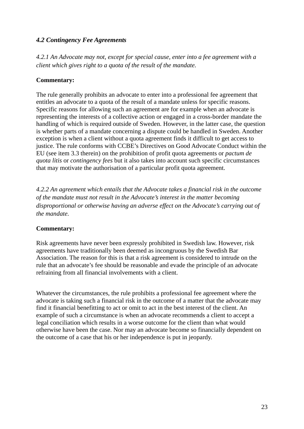## *4.2 Contingency Fee Agreements*

*4.2.1 An Advocate may not, except for special cause, enter into a fee agreement with a client which gives right to a quota of the result of the mandate.* 

#### **Commentary:**

The rule generally prohibits an advocate to enter into a professional fee agreement that entitles an advocate to a quota of the result of a mandate unless for specific reasons. Specific reasons for allowing such an agreement are for example when an advocate is representing the interests of a collective action or engaged in a cross-border mandate the handling of which is required outside of Sweden. However, in the latter case, the question is whether parts of a mandate concerning a dispute could be handled in Sweden. Another exception is when a client without a quota agreement finds it difficult to get access to justice. The rule conforms with CCBE's Directives on Good Advocate Conduct within the EU (see item 3.3 therein) on the prohibition of profit quota agreements or *pactum de quota litis* or *contingency fees* but it also takes into account such specific circumstances that may motivate the authorisation of a particular profit quota agreement.

*4.2.2 An agreement which entails that the Advocate takes a financial risk in the outcome of the mandate must not result in the Advocate's interest in the matter becoming disproportional or otherwise having an adverse effect on the Advocate's carrying out of the mandate.* 

#### **Commentary:**

Risk agreements have never been expressly prohibited in Swedish law. However, risk agreements have traditionally been deemed as incongruous by the Swedish Bar Association. The reason for this is that a risk agreement is considered to intrude on the rule that an advocate's fee should be reasonable and evade the principle of an advocate refraining from all financial involvements with a client.

Whatever the circumstances, the rule prohibits a professional fee agreement where the advocate is taking such a financial risk in the outcome of a matter that the advocate may find it financial benefitting to act or omit to act in the best interest of the client. An example of such a circumstance is when an advocate recommends a client to accept a legal conciliation which results in a worse outcome for the client than what would otherwise have been the case. Nor may an advocate become so financially dependent on the outcome of a case that his or her independence is put in jeopardy.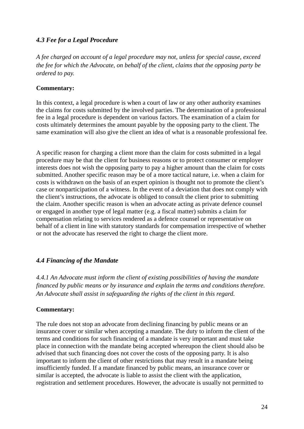## *4.3 Fee for a Legal Procedure*

*A fee charged on account of a legal procedure may not, unless for special cause, exceed the fee for which the Advocate, on behalf of the client, claims that the opposing party be ordered to pay.* 

#### **Commentary:**

In this context, a legal procedure is when a court of law or any other authority examines the claims for costs submitted by the involved parties. The determination of a professional fee in a legal procedure is dependent on various factors. The examination of a claim for costs ultimately determines the amount payable by the opposing party to the client. The same examination will also give the client an idea of what is a reasonable professional fee.

A specific reason for charging a client more than the claim for costs submitted in a legal procedure may be that the client for business reasons or to protect consumer or employer interests does not wish the opposing party to pay a higher amount than the claim for costs submitted. Another specific reason may be of a more tactical nature, i.e. when a claim for costs is withdrawn on the basis of an expert opinion is thought not to promote the client's case or nonparticipation of a witness. In the event of a deviation that does not comply with the client's instructions, the advocate is obliged to consult the client prior to submitting the claim. Another specific reason is when an advocate acting as private defence counsel or engaged in another type of legal matter (e.g. a fiscal matter) submits a claim for compensation relating to services rendered as a defence counsel or representative on behalf of a client in line with statutory standards for compensation irrespective of whether or not the advocate has reserved the right to charge the client more.

## *4.4 Financing of the Mandate*

*4.4.1 An Advocate must inform the client of existing possibilities of having the mandate financed by public means or by insurance and explain the terms and conditions therefore. An Advocate shall assist in safeguarding the rights of the client in this regard.* 

#### **Commentary:**

The rule does not stop an advocate from declining financing by public means or an insurance cover or similar when accepting a mandate. The duty to inform the client of the terms and conditions for such financing of a mandate is very important and must take place in connection with the mandate being accepted whereupon the client should also be advised that such financing does not cover the costs of the opposing party. It is also important to inform the client of other restrictions that may result in a mandate being insufficiently funded. If a mandate financed by public means, an insurance cover or similar is accepted, the advocate is liable to assist the client with the application, registration and settlement procedures. However, the advocate is usually not permitted to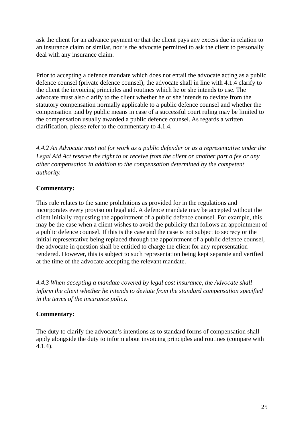ask the client for an advance payment or that the client pays any excess due in relation to an insurance claim or similar, nor is the advocate permitted to ask the client to personally deal with any insurance claim.

Prior to accepting a defence mandate which does not entail the advocate acting as a public defence counsel (private defence counsel), the advocate shall in line with 4.1.4 clarify to the client the invoicing principles and routines which he or she intends to use. The advocate must also clarify to the client whether he or she intends to deviate from the statutory compensation normally applicable to a public defence counsel and whether the compensation paid by public means in case of a successful court ruling may be limited to the compensation usually awarded a public defence counsel. As regards a written clarification, please refer to the commentary to 4.1.4.

*4.4.2 An Advocate must not for work as a public defender or as a representative under the Legal Aid Act reserve the right to or receive from the client or another part a fee or any other compensation in addition to the compensation determined by the competent authority.* 

#### **Commentary:**

This rule relates to the same prohibitions as provided for in the regulations and incorporates every proviso on legal aid. A defence mandate may be accepted without the client initially requesting the appointment of a public defence counsel. For example, this may be the case when a client wishes to avoid the publicity that follows an appointment of a public defence counsel. If this is the case and the case is not subject to secrecy or the initial representative being replaced through the appointment of a public defence counsel, the advocate in question shall be entitled to charge the client for any representation rendered. However, this is subject to such representation being kept separate and verified at the time of the advocate accepting the relevant mandate.

*4.4.3 When accepting a mandate covered by legal cost insurance, the Advocate shall inform the client whether he intends to deviate from the standard compensation specified in the terms of the insurance policy.* 

## **Commentary:**

The duty to clarify the advocate's intentions as to standard forms of compensation shall apply alongside the duty to inform about invoicing principles and routines (compare with 4.1.4).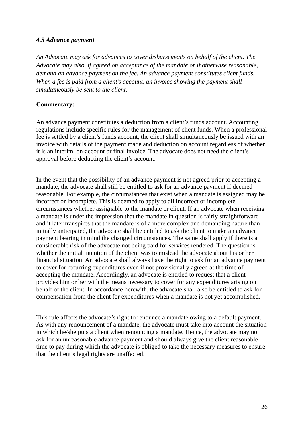#### *4.5 Advance payment*

*An Advocate may ask for advances to cover disbursements on behalf of the client. The Advocate may also, if agreed on acceptance of the mandate or if otherwise reasonable, demand an advance payment on the fee. An advance payment constitutes client funds. When a fee is paid from a client's account, an invoice showing the payment shall simultaneously be sent to the client.* 

#### **Commentary:**

An advance payment constitutes a deduction from a client's funds account. Accounting regulations include specific rules for the management of client funds. When a professional fee is settled by a client's funds account, the client shall simultaneously be issued with an invoice with details of the payment made and deduction on account regardless of whether it is an interim, on-account or final invoice. The advocate does not need the client's approval before deducting the client's account.

In the event that the possibility of an advance payment is not agreed prior to accepting a mandate, the advocate shall still be entitled to ask for an advance payment if deemed reasonable. For example, the circumstances that exist when a mandate is assigned may be incorrect or incomplete. This is deemed to apply to all incorrect or incomplete circumstances whether assignable to the mandate or client. If an advocate when receiving a mandate is under the impression that the mandate in question is fairly straightforward and it later transpires that the mandate is of a more complex and demanding nature than initially anticipated, the advocate shall be entitled to ask the client to make an advance payment bearing in mind the changed circumstances. The same shall apply if there is a considerable risk of the advocate not being paid for services rendered. The question is whether the initial intention of the client was to mislead the advocate about his or her financial situation. An advocate shall always have the right to ask for an advance payment to cover for recurring expenditures even if not provisionally agreed at the time of accepting the mandate. Accordingly, an advocate is entitled to request that a client provides him or her with the means necessary to cover for any expenditures arising on behalf of the client. In accordance herewith, the advocate shall also be entitled to ask for compensation from the client for expenditures when a mandate is not yet accomplished.

This rule affects the advocate's right to renounce a mandate owing to a default payment. As with any renouncement of a mandate, the advocate must take into account the situation in which he/she puts a client when renouncing a mandate. Hence, the advocate may not ask for an unreasonable advance payment and should always give the client reasonable time to pay during which the advocate is obliged to take the necessary measures to ensure that the client's legal rights are unaffected.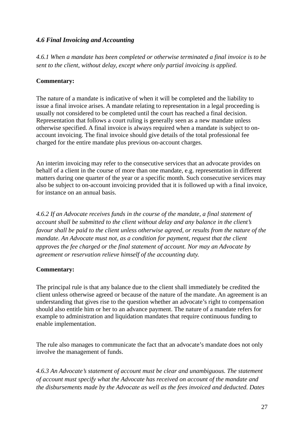## *4.6 Final Invoicing and Accounting*

*4.6.1 When a mandate has been completed or otherwise terminated a final invoice is to be sent to the client, without delay, except where only partial invoicing is applied.* 

#### **Commentary:**

The nature of a mandate is indicative of when it will be completed and the liability to issue a final invoice arises. A mandate relating to representation in a legal proceeding is usually not considered to be completed until the court has reached a final decision. Representation that follows a court ruling is generally seen as a new mandate unless otherwise specified. A final invoice is always required when a mandate is subject to onaccount invoicing. The final invoice should give details of the total professional fee charged for the entire mandate plus previous on-account charges.

An interim invoicing may refer to the consecutive services that an advocate provides on behalf of a client in the course of more than one mandate, e.g. representation in different matters during one quarter of the year or a specific month. Such consecutive services may also be subject to on-account invoicing provided that it is followed up with a final invoice, for instance on an annual basis.

*4.6.2 If an Advocate receives funds in the course of the mandate, a final statement of account shall be submitted to the client without delay and any balance in the client's favour shall be paid to the client unless otherwise agreed, or results from the nature of the mandate. An Advocate must not, as a condition for payment, request that the client approves the fee charged or the final statement of account. Nor may an Advocate by agreement or reservation relieve himself of the accounting duty.* 

#### **Commentary:**

The principal rule is that any balance due to the client shall immediately be credited the client unless otherwise agreed or because of the nature of the mandate. An agreement is an understanding that gives rise to the question whether an advocate's right to compensation should also entitle him or her to an advance payment. The nature of a mandate refers for example to administration and liquidation mandates that require continuous funding to enable implementation.

The rule also manages to communicate the fact that an advocate's mandate does not only involve the management of funds.

*4.6.3 An Advocate's statement of account must be clear and unambiguous. The statement of account must specify what the Advocate has received on account of the mandate and the disbursements made by the Advocate as well as the fees invoiced and deducted. Dates*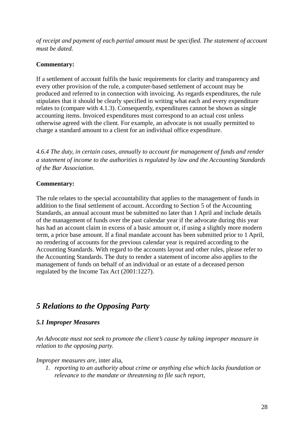*of receipt and payment of each partial amount must be specified. The statement of account must be dated.* 

## **Commentary:**

If a settlement of account fulfils the basic requirements for clarity and transparency and every other provision of the rule, a computer-based settlement of account may be produced and referred to in connection with invoicing. As regards expenditures, the rule stipulates that it should be clearly specified in writing what each and every expenditure relates to (compare with 4.1.3). Consequently, expenditures cannot be shown as single accounting items. Invoiced expenditures must correspond to an actual cost unless otherwise agreed with the client. For example, an advocate is not usually permitted to charge a standard amount to a client for an individual office expenditure.

*4.6.4 The duty, in certain cases, annually to account for management of funds and render a statement of income to the authorities is regulated by law and the Accounting Standards of the Bar Association.* 

## **Commentary:**

The rule relates to the special accountability that applies to the management of funds in addition to the final settlement of account. According to Section 5 of the Accounting Standards, an annual account must be submitted no later than 1 April and include details of the management of funds over the past calendar year if the advocate during this year has had an account claim in excess of a basic amount or, if using a slightly more modern term, a price base amount. If a final mandate account has been submitted prior to 1 April, no rendering of accounts for the previous calendar year is required according to the Accounting Standards. With regard to the accounts layout and other rules, please refer to the Accounting Standards. The duty to render a statement of income also applies to the management of funds on behalf of an individual or an estate of a deceased person regulated by the Income Tax Act (2001:1227).

# *5 Relations to the Opposing Party*

## *5.1 Improper Measures*

*An Advocate must not seek to promote the client's cause by taking improper measure in relation to the opposing party.* 

*Improper measures are,* inter alia*,* 

*1. reporting to an authority about crime or anything else which lacks foundation or relevance to the mandate or threatening to file such report,*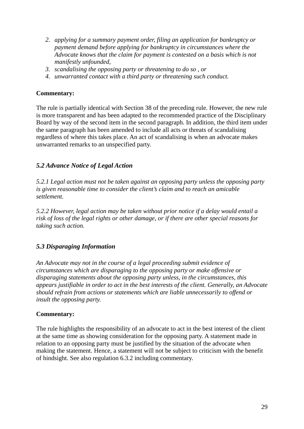- *2. applying for a summary payment order, filing an application for bankruptcy or payment demand before applying for bankruptcy in circumstances where the Advocate knows that the claim for payment is contested on a basis which is not manifestly unfounded,*
- *3. scandalising the opposing party or threatening to do so , or*
- *4. unwarranted contact with a third party or threatening such conduct.*

The rule is partially identical with Section 38 of the preceding rule. However, the new rule is more transparent and has been adapted to the recommended practice of the Disciplinary Board by way of the second item in the second paragraph. In addition, the third item under the same paragraph has been amended to include all acts or threats of scandalising regardless of where this takes place. An act of scandalising is when an advocate makes unwarranted remarks to an unspecified party.

#### *5.2 Advance Notice of Legal Action*

*5.2.1 Legal action must not be taken against an opposing party unless the opposing party is given reasonable time to consider the client's claim and to reach an amicable settlement.* 

*5.2.2 However, legal action may be taken without prior notice if a delay would entail a risk of loss of the legal rights or other damage, or if there are other special reasons for taking such action.* 

#### *5.3 Disparaging Information*

*An Advocate may not in the course of a legal proceeding submit evidence of circumstances which are disparaging to the opposing party or make offensive or disparaging statements about the opposing party unless, in the circumstances, this appears justifiable in order to act in the best interests of the client. Generally, an Advocate should refrain from actions or statements which are liable unnecessarily to offend or insult the opposing party.* 

#### **Commentary:**

The rule highlights the responsibility of an advocate to act in the best interest of the client at the same time as showing consideration for the opposing party. A statement made in relation to an opposing party must be justified by the situation of the advocate when making the statement. Hence, a statement will not be subject to criticism with the benefit of hindsight. See also regulation 6.3.2 including commentary.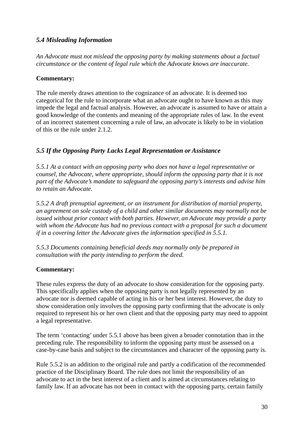## *5.4 Misleading Information*

*An Advocate must not mislead the opposing party by making statements about a factual circumstance or the content of legal rule which the Advocate knows are inaccurate.* 

#### **Commentary:**

The rule merely draws attention to the cognizance of an advocate. It is deemed too categorical for the rule to incorporate what an advocate ought to have known as this may impede the legal and factual analysis. However, an advocate is assumed to have or attain a good knowledge of the contents and meaning of the appropriate rules of law. In the event of an incorrect statement concerning a rule of law, an advocate is likely to be in violation of this or the rule under 2.1.2.

## *5.5 If the Opposing Party Lacks Legal Representation or Assistance*

*5.5.1 At a contact with an opposing party who does not have a legal representative or counsel, the Advocate, where appropriate, should inform the opposing party that it is not part of the Advocate's mandate to safeguard the opposing party's interests and advise him to retain an Advocate.* 

*5.5.2 A draft prenuptial agreement, or an instrument for distribution of martial property, an agreement on sole custody of a child and other similar documents may normally not be issued without prior contact with both parties. However, an Advocate may provide a party with whom the Advocate has had no previous contact with a proposal for such a document if in a covering letter the Advocate gives the information specified in 5.5.1.* 

*5.5.3 Documents containing beneficial deeds may normally only be prepared in consultation with the party intending to perform the deed.* 

#### **Commentary:**

These rules express the duty of an advocate to show consideration for the opposing party. This specifically applies when the opposing party is not legally represented by an advocate nor is deemed capable of acting in his or her best interest. However, the duty to show consideration only involves the opposing party confirming that the advocate is only required to represent his or her own client and that the opposing party may need to appoint a legal representative.

The term 'contacting' under 5.5.1 above has been given a broader connotation than in the preceding rule. The responsibility to inform the opposing party must be assessed on a case-by-case basis and subject to the circumstances and character of the opposing party is.

Rule 5.5.2 is an addition to the original rule and partly a codification of the recommended practice of the Disciplinary Board. The rule does not limit the responsibility of an advocate to act in the best interest of a client and is aimed at circumstances relating to family law. If an advocate has not been in contact with the opposing party, certain family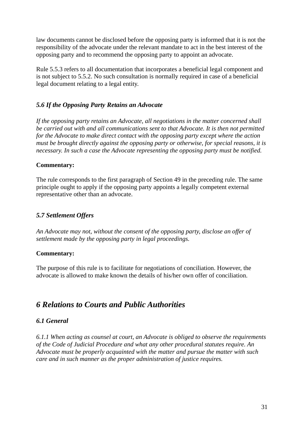law documents cannot be disclosed before the opposing party is informed that it is not the responsibility of the advocate under the relevant mandate to act in the best interest of the opposing party and to recommend the opposing party to appoint an advocate.

Rule 5.5.3 refers to all documentation that incorporates a beneficial legal component and is not subject to 5.5.2. No such consultation is normally required in case of a beneficial legal document relating to a legal entity.

## *5.6 If the Opposing Party Retains an Advocate*

*If the opposing party retains an Advocate, all negotiations in the matter concerned shall be carried out with and all communications sent to that Advocate. It is then not permitted for the Advocate to make direct contact with the opposing party except where the action must be brought directly against the opposing party or otherwise, for special reasons, it is necessary. In such a case the Advocate representing the opposing party must be notified.* 

#### **Commentary:**

The rule corresponds to the first paragraph of Section 49 in the preceding rule. The same principle ought to apply if the opposing party appoints a legally competent external representative other than an advocate.

## *5.7 Settlement Offers*

*An Advocate may not, without the consent of the opposing party, disclose an offer of settlement made by the opposing party in legal proceedings.* 

#### **Commentary:**

The purpose of this rule is to facilitate for negotiations of conciliation. However, the advocate is allowed to make known the details of his/her own offer of conciliation.

# *6 Relations to Courts and Public Authorities*

## *6.1 General*

*6.1.1 When acting as counsel at court, an Advocate is obliged to observe the requirements of the Code of Judicial Procedure and what any other procedural statutes require. An Advocate must be properly acquainted with the matter and pursue the matter with such care and in such manner as the proper administration of justice requires.*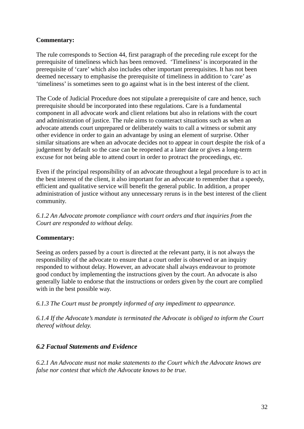The rule corresponds to Section 44, first paragraph of the preceding rule except for the prerequisite of timeliness which has been removed. 'Timeliness' is incorporated in the prerequisite of 'care' which also includes other important prerequisites. It has not been deemed necessary to emphasise the prerequisite of timeliness in addition to 'care' as 'timeliness' is sometimes seen to go against what is in the best interest of the client.

The Code of Judicial Procedure does not stipulate a prerequisite of care and hence, such prerequisite should be incorporated into these regulations. Care is a fundamental component in all advocate work and client relations but also in relations with the court and administration of justice. The rule aims to counteract situations such as when an advocate attends court unprepared or deliberately waits to call a witness or submit any other evidence in order to gain an advantage by using an element of surprise. Other similar situations are when an advocate decides not to appear in court despite the risk of a judgement by default so the case can be reopened at a later date or gives a long-term excuse for not being able to attend court in order to protract the proceedings, etc.

Even if the principal responsibility of an advocate throughout a legal procedure is to act in the best interest of the client, it also important for an advocate to remember that a speedy, efficient and qualitative service will benefit the general public. In addition, a proper administration of justice without any unnecessary reruns is in the best interest of the client community.

*6.1.2 An Advocate promote compliance with court orders and that inquiries from the Court are responded to without delay.* 

#### **Commentary:**

Seeing as orders passed by a court is directed at the relevant party, it is not always the responsibility of the advocate to ensure that a court order is observed or an inquiry responded to without delay. However, an advocate shall always endeavour to promote good conduct by implementing the instructions given by the court. An advocate is also generally liable to endorse that the instructions or orders given by the court are complied with in the best possible way.

*6.1.3 The Court must be promptly informed of any impediment to appearance.* 

*6.1.4 If the Advocate's mandate is terminated the Advocate is obliged to inform the Court thereof without delay.* 

#### *6.2 Factual Statements and Evidence*

*6.2.1 An Advocate must not make statements to the Court which the Advocate knows are false nor contest that which the Advocate knows to be true.*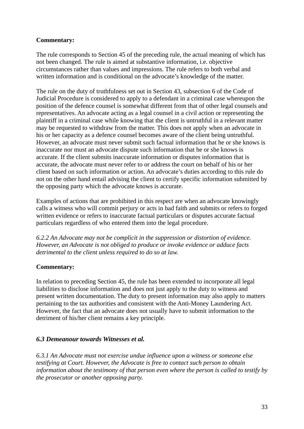The rule corresponds to Section 45 of the preceding rule, the actual meaning of which has not been changed. The rule is aimed at substantive information, i.e. objective circumstances rather than values and impressions. The rule refers to both verbal and written information and is conditional on the advocate's knowledge of the matter.

The rule on the duty of truthfulness set out in Section 43, subsection 6 of the Code of Judicial Procedure is considered to apply to a defendant in a criminal case whereupon the position of the defence counsel is somewhat different from that of other legal counsels and representatives. An advocate acting as a legal counsel in a civil action or representing the plaintiff in a criminal case while knowing that the client is untruthful in a relevant matter may be requested to withdraw from the matter. This does not apply when an advocate in his or her capacity as a defence counsel becomes aware of the client being untruthful. However, an advocate must never submit such factual information that he or she knows is inaccurate nor must an advocate dispute such information that he or she knows is accurate. If the client submits inaccurate information or disputes information that is accurate, the advocate must never refer to or address the court on behalf of his or her client based on such information or action. An advocate's duties according to this rule do not on the other hand entail advising the client to certify specific information submitted by the opposing party which the advocate knows is accurate.

Examples of actions that are prohibited in this respect are when an advocate knowingly calls a witness who will commit perjury or acts in bad faith and submits or refers to forged written evidence or refers to inaccurate factual particulars or disputes accurate factual particulars regardless of who entered them into the legal procedure.

*6.2.2 An Advocate may not be complicit in the suppression or distortion of evidence. However, an Advocate is not obliged to produce or invoke evidence or adduce facts detrimental to the client unless required to do so at law.* 

#### **Commentary:**

In relation to preceding Section 45, the rule has been extended to incorporate all legal liabilities to disclose information and does not just apply to the duty to witness and present written documentation. The duty to present information may also apply to matters pertaining to the tax authorities and consistent with the Anti-Money Laundering Act. However, the fact that an advocate does not usually have to submit information to the detriment of his/her client remains a key principle.

#### *6.3 Demeanour towards Witnesses et al.*

*6.3.1 An Advocate must not exercise undue influence upon a witness or someone else testifying at Court. However, the Advocate is free to contact such person to obtain information about the testimony of that person even where the person is called to testify by the prosecutor or another opposing party.*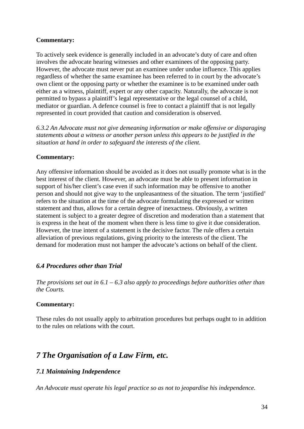To actively seek evidence is generally included in an advocate's duty of care and often involves the advocate hearing witnesses and other examinees of the opposing party. However, the advocate must never put an examinee under undue influence. This applies regardless of whether the same examinee has been referred to in court by the advocate's own client or the opposing party or whether the examinee is to be examined under oath either as a witness, plaintiff, expert or any other capacity. Naturally, the advocate is not permitted to bypass a plaintiff's legal representative or the legal counsel of a child, mediator or guardian. A defence counsel is free to contact a plaintiff that is not legally represented in court provided that caution and consideration is observed.

*6.3.2 An Advocate must not give demeaning information or make offensive or disparaging statements about a witness or another person unless this appears to be justified in the situation at hand in order to safeguard the interests of the client.* 

#### **Commentary:**

Any offensive information should be avoided as it does not usually promote what is in the best interest of the client. However, an advocate must be able to present information in support of his/her client's case even if such information may be offensive to another person and should not give way to the unpleasantness of the situation. The term 'justified' refers to the situation at the time of the advocate formulating the expressed or written statement and thus, allows for a certain degree of inexactness. Obviously, a written statement is subject to a greater degree of discretion and moderation than a statement that is express in the heat of the moment when there is less time to give it due consideration. However, the true intent of a statement is the decisive factor. The rule offers a certain alleviation of previous regulations, giving priority to the interests of the client. The demand for moderation must not hamper the advocate's actions on behalf of the client.

#### *6.4 Procedures other than Trial*

*The provisions set out in 6.1 – 6.3 also apply to proceedings before authorities other than the Courts.* 

#### **Commentary:**

These rules do not usually apply to arbitration procedures but perhaps ought to in addition to the rules on relations with the court.

# *7 The Organisation of a Law Firm, etc.*

#### *7.1 Maintaining Independence*

*An Advocate must operate his legal practice so as not to jeopardise his independence.*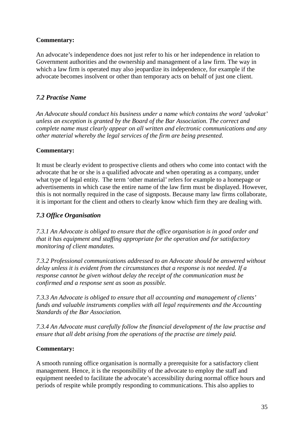An advocate's independence does not just refer to his or her independence in relation to Government authorities and the ownership and management of a law firm. The way in which a law firm is operated may also jeopardize its independence, for example if the advocate becomes insolvent or other than temporary acts on behalf of just one client.

## *7.2 Practise Name*

*An Advocate should conduct his business under a name which contains the word 'advokat' unless an exception is granted by the Board of the Bar Association. The correct and complete name must clearly appear on all written and electronic communications and any other material whereby the legal services of the firm are being presented.* 

## **Commentary:**

It must be clearly evident to prospective clients and others who come into contact with the advocate that he or she is a qualified advocate and when operating as a company, under what type of legal entity. The term 'other material' refers for example to a homepage or advertisements in which case the entire name of the law firm must be displayed. However, this is not normally required in the case of signposts. Because many law firms collaborate, it is important for the client and others to clearly know which firm they are dealing with.

## *7.3 Office Organisation*

*7.3.1 An Advocate is obliged to ensure that the office organisation is in good order and that it has equipment and staffing appropriate for the operation and for satisfactory monitoring of client mandates.* 

*7.3.2 Professional communications addressed to an Advocate should be answered without delay unless it is evident from the circumstances that a response is not needed. If a response cannot be given without delay the receipt of the communication must be confirmed and a response sent as soon as possible.* 

*7.3.3 An Advocate is obliged to ensure that all accounting and management of clients' funds and valuable instruments complies with all legal requirements and the Accounting Standards of the Bar Association.* 

*7.3.4 An Advocate must carefully follow the financial development of the law practise and ensure that all debt arising from the operations of the practise are timely paid.* 

## **Commentary:**

A smooth running office organisation is normally a prerequisite for a satisfactory client management. Hence, it is the responsibility of the advocate to employ the staff and equipment needed to facilitate the advocate's accessibility during normal office hours and periods of respite while promptly responding to communications. This also applies to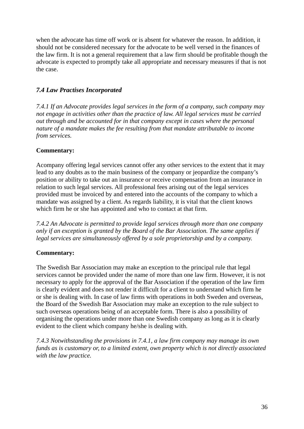when the advocate has time off work or is absent for whatever the reason. In addition, it should not be considered necessary for the advocate to be well versed in the finances of the law firm. It is not a general requirement that a law firm should be profitable though the advocate is expected to promptly take all appropriate and necessary measures if that is not the case.

## *7.4 Law Practises Incorporated*

*7.4.1 If an Advocate provides legal services in the form of a company, such company may not engage in activities other than the practice of law. All legal services must be carried out through and be accounted for in that company except in cases where the personal nature of a mandate makes the fee resulting from that mandate attributable to income from services.* 

## **Commentary:**

Acompany offering legal services cannot offer any other services to the extent that it may lead to any doubts as to the main business of the company or jeopardize the company's position or ability to take out an insurance or receive compensation from an insurance in relation to such legal services. All professional fees arising out of the legal services provided must be invoiced by and entered into the accounts of the company to which a mandate was assigned by a client. As regards liability, it is vital that the client knows which firm he or she has appointed and who to contact at that firm.

*7.4.2 An Advocate is permitted to provide legal services through more than one company only if an exception is granted by the Board of the Bar Association. The same applies if legal services are simultaneously offered by a sole proprietorship and by a company.* 

## **Commentary:**

The Swedish Bar Association may make an exception to the principal rule that legal services cannot be provided under the name of more than one law firm. However, it is not necessary to apply for the approval of the Bar Association if the operation of the law firm is clearly evident and does not render it difficult for a client to understand which firm he or she is dealing with. In case of law firms with operations in both Sweden and overseas, the Board of the Swedish Bar Association may make an exception to the rule subject to such overseas operations being of an acceptable form. There is also a possibility of organising the operations under more than one Swedish company as long as it is clearly evident to the client which company he/she is dealing with.

*7.4.3 Notwithstanding the provisions in 7.4.1, a law firm company may manage its own funds as is customary or, to a limited extent, own property which is not directly associated with the law practice.*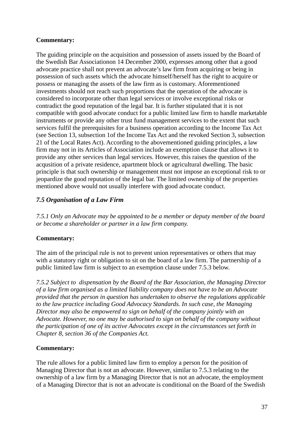The guiding principle on the acquisition and possession of assets issued by the Board of the Swedish Bar Associationon 14 December 2000, expresses among other that a good advocate practice shall not prevent an advocate's law firm from acquiring or being in possession of such assets which the advocate himself/herself has the right to acquire or possess or managing the assets of the law firm as is customary. Aforementioned investments should not reach such proportions that the operation of the advocate is considered to incorporate other than legal services or involve exceptional risks or contradict the good reputation of the legal bar. It is further stipulated that it is not compatible with good advocate conduct for a public limited law firm to handle marketable instruments or provide any other trust fund management services to the extent that such services fulfil the prerequisites for a business operation according to the Income Tax Act (see Section 13, subsection 1of the Income Tax Act and the revoked Section 3, subsection 21 of the Local Rates Act). According to the abovementioned guiding principles, a law firm may not in its Articles of Association include an exemption clause that allows it to provide any other services than legal services. However, this raises the question of the acqusition of a private residence, apartment block or agricultural dwelling. The basic principle is that such ownership or management must not impose an exceptional risk to or jeopardize the good reputation of the legal bar. The limited ownership of the properties mentioned above would not usually interfere with good advocate conduct.

## *7.5 Organisation of a Law Firm*

*7.5.1 Only an Advocate may be appointed to be a member or deputy member of the board or become a shareholder or partner in a law firm company.* 

#### **Commentary:**

The aim of the principal rule is not to prevent union representatives or others that may with a statutory right or obligation to sit on the board of a law firm. The partnership of a public limited law firm is subject to an exemption clause under 7.5.3 below.

*7.5.2 Subject to dispensation by the Board of the Bar Association, the Managing Director of a law firm organised as a limited liability company does not have to be an Advocate provided that the person in question has undertaken to observe the regulations applicable to the law practice including Good Advocacy Standards. In such case, the Managing Director may also be empowered to sign on behalf of the company jointly with an Advocate. However, no one may be authorised to sign on behalf of the company without the participation of one of its active Advocates except in the circumstances set forth in Chapter 8, section 36 of the Companies Act.* 

#### **Commentary:**

The rule allows for a public limited law firm to employ a person for the position of Managing Director that is not an advocate. However, similar to 7.5.3 relating to the ownership of a law firm by a Managing Director that is not an advocate, the employment of a Managing Director that is not an advocate is conditional on the Board of the Swedish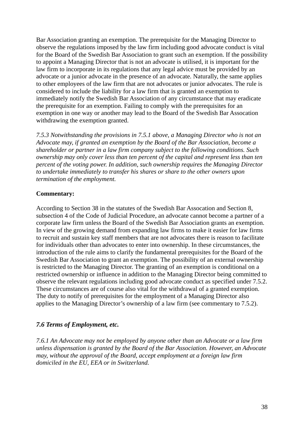Bar Association granting an exemption. The prerequisite for the Managing Director to observe the regulations imposed by the law firm including good advocate conduct is vital for the Board of the Swedish Bar Association to grant such an exemption. If the possibility to appoint a Managing Director that is not an advocate is utilised, it is important for the law firm to incorporate in its regulations that any legal advice must be provided by an advocate or a junior advocate in the presence of an advocate. Naturally, the same applies to other employees of the law firm that are not advocates or junior advocates. The rule is considered to include the liability for a law firm that is granted an exemption to immediately notify the Swedish Bar Association of any circumstance that may eradicate the prerequisite for an exemption. Failing to comply with the prerequisites for an exemption in one way or another may lead to the Board of the Swedish Bar Assocation withdrawing the exemption granted.

*7.5.3 Notwithstanding the provisions in 7.5.1 above, a Managing Director who is not an Advocate may, if granted an exemption by the Board of the Bar Association, become a shareholder or partner in a law firm company subject to the following conditions. Such ownership may only cover less than ten percent of the capital and represent less than ten percent of the voting power. In addition, such ownership requires the Managing Director to undertake immediately to transfer his shares or share to the other owners upon termination of the employment.* 

#### **Commentary:**

According to Section 38 in the statutes of the Swedish Bar Assocation and Section 8, subsection 4 of the Code of Judicial Procedure, an advocate cannot become a partner of a corporate law firm unless the Board of the Swedish Bar Association grants an exemption. In view of the growing demand from expanding law firms to make it easier for law firms to recruit and sustain key staff members that are not advocates there is reason to facilitate for individuals other than advocates to enter into ownership. In these circumstances, the introduction of the rule aims to clarify the fundamental prerequisites for the Board of the Swedish Bar Association to grant an exemption. The possibility of an external ownership is restricted to the Managing Director. The granting of an exemption is conditional on a restricted ownership or influence in addition to the Managing Director being committed to observe the relevant regulations including good advocate conduct as specified under 7.5.2. These circumstances are of course also vital for the withdrawal of a granted exemption. The duty to notify of prerequisites for the employment of a Managing Director also applies to the Managing Director's ownership of a law firm (see commentary to 7.5.2).

#### *7.6 Terms of Employment, etc.*

*7.6.1 An Advocate may not be employed by anyone other than an Advocate or a law firm unless dispensation is granted by the Board of the Bar Association. However, an Advocate may, without the approval of the Board, accept employment at a foreign law firm domiciled in the EU, EEA or in Switzerland.*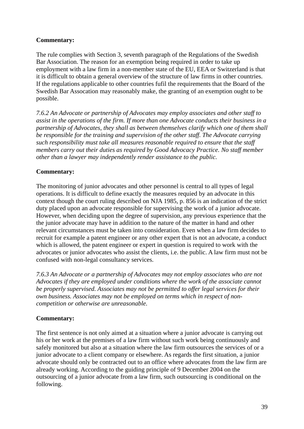The rule complies with Section 3, seventh paragraph of the Regulations of the Swedish Bar Association. The reason for an exemption being required in order to take up employment with a law firm in a non-member state of the EU, EEA or Switzerland is that it is difficult to obtain a general overview of the structure of law firms in other countries. If the regulations applicable to other countries fufil the requirements that the Board of the Swedish Bar Assocation may reasonably make, the granting of an exemption ought to be possible.

*7.6.2 An Advocate or partnership of Advocates may employ associates and other staff to assist in the operations of the firm. If more than one Advocate conducts their business in a partnership of Advocates, they shall as between themselves clarify which one of them shall be responsible for the training and supervision of the other staff. The Advocate carrying such responsibility must take all measures reasonable required to ensure that the staff members carry out their duties as required by Good Advocacy Practice. No staff member other than a lawyer may independently render assistance to the public.* 

#### **Commentary:**

The monitoring of junior advocates and other personnel is central to all types of legal operations. It is difficult to define exactly the measures requied by an advocate in this context though the court ruling described on NJA 1985, p. 856 is an indication of the strict duty placed upon an advocate responsible for supervising the work of a junior advocate. However, when deciding upon the degree of supervision, any previous experience that the the junior advocate may have in addition to the nature of the matter in hand and other relevant circumstances must be taken into consideration. Even when a law firm decides to recruit for example a patent engineer or any other expert that is not an advocate, a conduct which is allowed, the patent engineer or expert in question is required to work with the advocates or junior advocates who assist the clients, i.e. the public. A law firm must not be confused with non-legal consultancy services.

*7.6.3 An Advocate or a partnership of Advocates may not employ associates who are not Advocates if they are employed under conditions where the work of the associate cannot be properly supervised. Associates may not be permitted to offer legal services for their own business. Associates may not be employed on terms which in respect of noncompetition or otherwise are unreasonable.* 

#### **Commentary:**

The first sentence is not only aimed at a situation where a junior advocate is carrying out his or her work at the premises of a law firm without such work being continuously and safely monitored but also at a situation where the law firm outsources the services of or a junior advocate to a client company or elsewhere. As regards the first situation, a junior advocate should only be contracted out to an office where advocates from the law firm are already working. According to the guiding principle of 9 December 2004 on the outsourcing of a junior advocate from a law firm, such outsourcing is conditional on the following.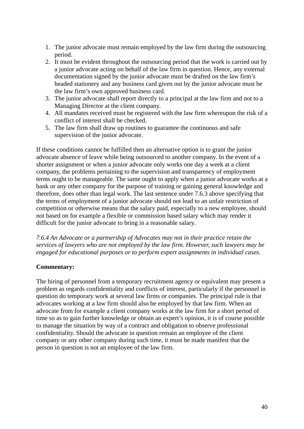- 1. The junior advocate must remain employed by the law firm during the outsourcing period.
- 2. It must be evident throughout the outsourcing period that the work is carried out by a junior advocate acting on behalf of the law firm in question. Hence, any external documentation signed by the junior advocate must be drafted on the law firm's headed stationery and any business card given out by the junior advocate must be the law firm's own approved business card.
- 3. The junior advocate shall report directly to a principal at the law firm and not to a Managing Director at the client company.
- 4. All mandates received must be registered with the law firm whereupon the risk of a conflict of interest shall be checked.
- 5. The law firm shall draw up routines to guarantee the continuous and safe supervision of the junior advocate.

If these conditions cannot be fulfilled then an alternative option is to grant the junior advocate absence of leave while being outsourced to another company. In the event of a shorter assignment or when a junior advocate only works one day a week at a client company, the problems pertaining to the supervision and transparency of employment terms ought to be manageable. The same ought to apply when a junior advocate works at a bank or any other company for the purpose of training or gaining general knowledge and therefore, does other than legal work. The last sentence under 7.6.3 above specifying that the terms of employment of a junior advocate should not lead to an unfair restriction of competition or otherwise means that the salary paid, especially to a new employee, should not based on for example a flexible or commission based salary which may render it difficult for the junior advocate to bring in a reasonable salary.

*7.6.4 An Advocate or a partnership of Advocates may not in their practice retain the services of lawyers who are not employed by the law firm. However, such lawyers may be engaged for educational purposes or to perform expert assignments in individual cases.* 

#### **Commentary:**

The hiring of personnel from a temporary recruitment agency or equivalent may present a problem as regards confidentiality and conflicts of interest, particularly if the personnel in question do temporary work at several law firms or companies. The principal rule is that advocates working at a law firm should also be employed by that law firm. When an advocate from for example a client company works at the law firm for a short period of time so as to gain further knowledge or obtain an expert's opinion, it is of course possible to manage the situation by way of a contract and obligation to observe professional confidentiality. Should the advocate in question remain an employee of the client company or any other company during such time, it must be made manifest that the person in question is not an employee of the law firm.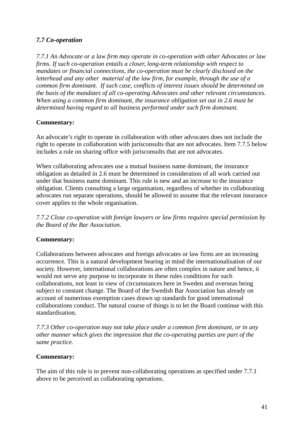## *7.7 Co-operation*

*7.7.1 An Advocate or a law firm may operate in co-operation with other Advocates or law firms. If such co-operation entails a closer, long-term relationship with respect to mandates or financial connections, the co-operation must be clearly disclosed on the letterhead and any other material of the law firm, for example, through the use of a common firm dominant. If such case, conflicts of interest issues should be determined on the basis of the mandates of all co-operating Advocates and other relevant circumstances. When using a common firm dominant, the insurance obligation set out in 2.6 must be determined having regard to all business performed under such firm dominant.* 

#### **Commentary:**

An advocate's right to operate in collaboration with other advocates does not include the right to operate in collaboration with jurisconsults that are not advocates. Item 7.7.5 below includes a rule on sharing office with jurisconsults that are not advocates.

When collaborating advocates use a mutual business name dominant, the insurance obligation as detailed in 2.6 must be determined in consideration of all work carried out under that business name dominant. This rule is new and an increase to the insurance obligation. Clients consulting a large organisation, regardless of whether its collaborating advocates run separate operations, should be allowed to assume that the relevant insurance cover applies to the whole organisation.

*7.7.2 Close co-operation with foreign lawyers or law firms requires special permission by the Board of the Bar Association.* 

#### **Commentary:**

Collaborations between advocates and foreign advocates or law firms are an increasing occurrence. This is a natural development bearing in mind the internationalisation of our society. However, international collaborations are often complex in nature and hence, it would not serve any purpose to incorporate in these rules conditions for such collaborations, not least in view of circumstances here in Sweden and overseas being subject to constant change. The Board of the Swedish Bar Association has already on account of numerious exemption cases drawn up standards for good international collaborations conduct. The natural course of things is to let the Board continue with this standardisation.

*7.7.3 Other co-operation may not take place under a common firm dominant, or in any other manner which gives the impression that the co-operating parties are part of the same practice.* 

#### **Commentary:**

The aim of this rule is to prevent non-collaborating operations as specified under 7.7.1 above to be perceived as collaborating operations.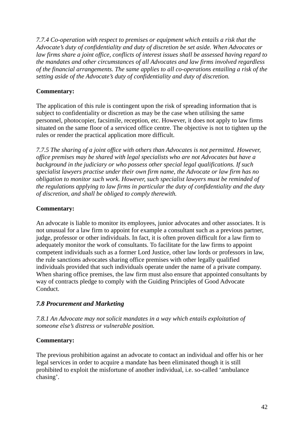*7.7.4 Co-operation with respect to premises or equipment which entails a risk that the Advocate's duty of confidentiality and duty of discretion be set aside. When Advocates or law firms share a joint office, conflicts of interest issues shall be assessed having regard to the mandates and other circumstances of all Advocates and law firms involved regardless of the financial arrangements. The same applies to all co-operations entailing a risk of the setting aside of the Advocate's duty of confidentiality and duty of discretion.* 

## **Commentary:**

The application of this rule is contingent upon the risk of spreading information that is subject to confidentiality or discretion as may be the case when utilising the same personnel, photocopier, facsimile, reception, etc. However, it does not apply to law firms situated on the same floor of a serviced office centre. The objective is not to tighten up the rules or render the practical application more difficult.

*7.7.5 The sharing of a joint office with others than Advocates is not permitted. However, office premises may be shared with legal specialists who are not Advocates but have a background in the judiciary or who possess other special legal qualifications. If such specialist lawyers practise under their own firm name, the Advocate or law firm has no obligation to monitor such work. However, such specialist lawyers must be reminded of the regulations applying to law firms in particular the duty of confidentiality and the duty of discretion, and shall be obliged to comply therewith.* 

## **Commentary:**

An advocate is liable to monitor its employees, junior advocates and other associates. It is not unusual for a law firm to appoint for example a consultant such as a previous partner, judge, professor or other individuals. In fact, it is often proven difficult for a law firm to adequately monitor the work of consultants. To facilitate for the law firms to appoint competent individuals such as a former Lord Justice, other law lords or professors in law, the rule sanctions advocates sharing office premises with other legally qualified individuals provided that such individuals operate under the name of a private company. When sharing office premises, the law firm must also ensure that appointed consultants by way of contracts pledge to comply with the Guiding Principles of Good Advocate Conduct.

#### *7.8 Procurement and Marketing*

*7.8.1 An Advocate may not solicit mandates in a way which entails exploitation of someone else's distress or vulnerable position.* 

#### **Commentary:**

The previous prohibition against an advocate to contact an individual and offer his or her legal services in order to acquire a mandate has been eliminated though it is still prohibited to exploit the misfortune of another individual, i.e. so-called 'ambulance chasing'.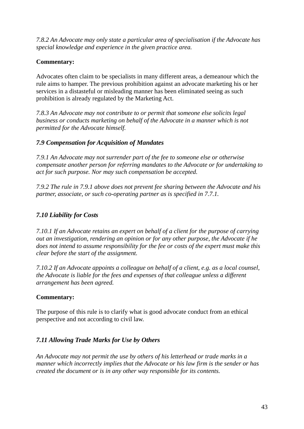*7.8.2 An Advocate may only state a particular area of specialisation if the Advocate has special knowledge and experience in the given practice area.* 

## **Commentary:**

Advocates often claim to be specialists in many different areas, a demeanour which the rule aims to hamper. The previous prohibition against an advocate marketing his or her services in a distasteful or misleading manner has been eliminated seeing as such prohibition is already regulated by the Marketing Act.

*7.8.3 An Advocate may not contribute to or permit that someone else solicits legal business or conducts marketing on behalf of the Advocate in a manner which is not permitted for the Advocate himself.* 

## *7.9 Compensation for Acquisition of Mandates*

*7.9.1 An Advocate may not surrender part of the fee to someone else or otherwise compensate another person for referring mandates to the Advocate or for undertaking to act for such purpose. Nor may such compensation be accepted.* 

*7.9.2 The rule in 7.9.1 above does not prevent fee sharing between the Advocate and his partner, associate, or such co-operating partner as is specified in 7.7.1.* 

## *7.10 Liability for Costs*

*7.10.1 If an Advocate retains an expert on behalf of a client for the purpose of carrying out an investigation, rendering an opinion or for any other purpose, the Advocate if he does not intend to assume responsibility for the fee or costs of the expert must make this clear before the start of the assignment.* 

*7.10.2 If an Advocate appoints a colleague on behalf of a client, e.g. as a local counsel, the Advocate is liable for the fees and expenses of that colleague unless a different arrangement has been agreed.* 

## **Commentary:**

The purpose of this rule is to clarify what is good advocate conduct from an ethical perspective and not according to civil law.

## *7.11 Allowing Trade Marks for Use by Others*

*An Advocate may not permit the use by others of his letterhead or trade marks in a manner which incorrectly implies that the Advocate or his law firm is the sender or has created the document or is in any other way responsible for its contents.*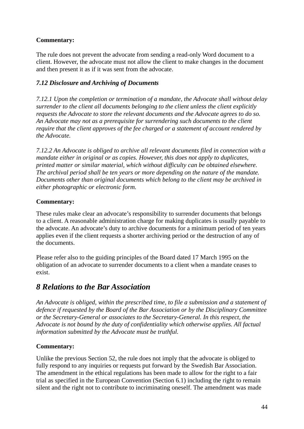The rule does not prevent the advocate from sending a read-only Word document to a client. However, the advocate must not allow the client to make changes in the document and then present it as if it was sent from the advocate.

## *7.12 Disclosure and Archiving of Documents*

*7.12.1 Upon the completion or termination of a mandate, the Advocate shall without delay surrender to the client all documents belonging to the client unless the client explicitly requests the Advocate to store the relevant documents and the Advocate agrees to do so. An Advocate may not as a prerequisite for surrendering such documents to the client require that the client approves of the fee charged or a statement of account rendered by the Advocate.* 

*7.12.2 An Advocate is obliged to archive all relevant documents filed in connection with a mandate either in original or as copies. However, this does not apply to duplicates, printed matter or similar material, which without difficulty can be obtained elsewhere. The archival period shall be ten years or more depending on the nature of the mandate. Documents other than original documents which belong to the client may be archived in either photographic or electronic form.* 

#### **Commentary:**

These rules make clear an advocate's responsibility to surrender documents that belongs to a client. A reasonable administration charge for making duplicates is usually payable to the advocate. An advocate's duty to archive documents for a minimum period of ten years applies even if the client requests a shorter archiving period or the destruction of any of the documents.

Please refer also to the guiding principles of the Board dated 17 March 1995 on the obligation of an advocate to surrender documents to a client when a mandate ceases to exist.

# *8 Relations to the Bar Association*

*An Advocate is obliged, within the prescribed time, to file a submission and a statement of defence if requested by the Board of the Bar Association or by the Disciplinary Committee or the Secretary-General or associates to the Secretary-General. In this respect, the Advocate is not bound by the duty of confidentiality which otherwise applies. All factual information submitted by the Advocate must be truthful.* 

#### **Commentary:**

Unlike the previous Section 52, the rule does not imply that the advocate is obliged to fully respond to any inquiries or requests put forward by the Swedish Bar Association. The amendment in the ethical regulations has been made to allow for the right to a fair trial as specified in the European Convention (Section 6.1) including the right to remain silent and the right not to contribute to incriminating oneself. The amendment was made